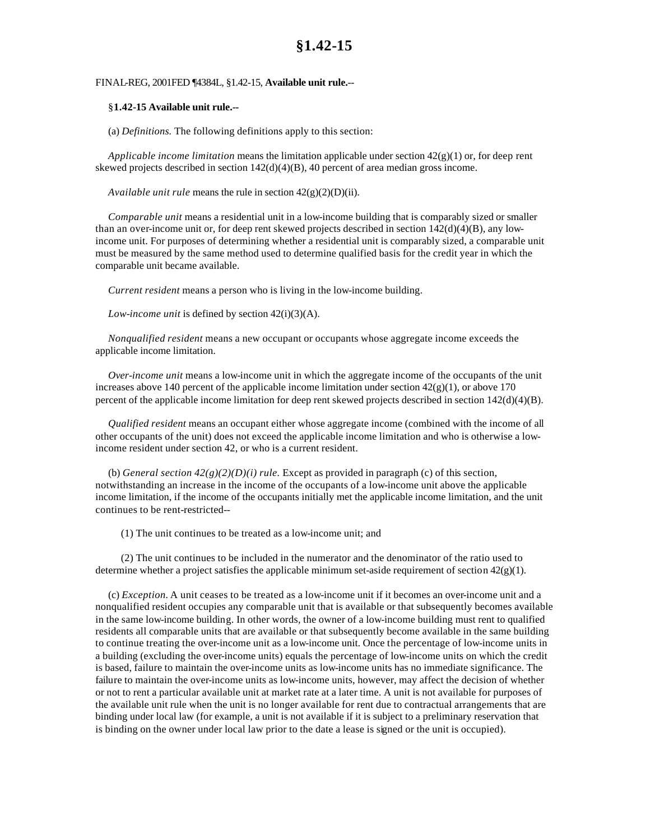## FINAL-REG, 2001FED ¶4384L, §1.42-15, **Available unit rule.**--

## §**1.42-15 Available unit rule.--**

(a) *Definitions.* The following definitions apply to this section:

*Applicable income limitation* means the limitation applicable under section 42(g)(1) or, for deep rent skewed projects described in section  $142(d)(4)(B)$ , 40 percent of area median gross income.

*Available unit rule* means the rule in section 42(g)(2)(D)(ii).

*Comparable unit* means a residential unit in a low-income building that is comparably sized or smaller than an over-income unit or, for deep rent skewed projects described in section  $142(d)(4)(B)$ , any lowincome unit. For purposes of determining whether a residential unit is comparably sized, a comparable unit must be measured by the same method used to determine qualified basis for the credit year in which the comparable unit became available.

*Current resident* means a person who is living in the low-income building.

*Low-income unit* is defined by section 42(i)(3)(A).

*Nonqualified resident* means a new occupant or occupants whose aggregate income exceeds the applicable income limitation.

*Over-income unit* means a low-income unit in which the aggregate income of the occupants of the unit increases above 140 percent of the applicable income limitation under section  $42(g)(1)$ , or above 170 percent of the applicable income limitation for deep rent skewed projects described in section 142(d)(4)(B).

*Qualified resident* means an occupant either whose aggregate income (combined with the income of all other occupants of the unit) does not exceed the applicable income limitation and who is otherwise a lowincome resident under section 42, or who is a current resident.

(b) *General section*  $42(g)(2)(D)(i)$  *rule.* Except as provided in paragraph (c) of this section, notwithstanding an increase in the income of the occupants of a low-income unit above the applicable income limitation, if the income of the occupants initially met the applicable income limitation, and the unit continues to be rent-restricted--

(1) The unit continues to be treated as a low-income unit; and

(2) The unit continues to be included in the numerator and the denominator of the ratio used to determine whether a project satisfies the applicable minimum set-aside requirement of section  $42(g)(1)$ .

(c) *Exception.* A unit ceases to be treated as a low-income unit if it becomes an over-income unit and a nonqualified resident occupies any comparable unit that is available or that subsequently becomes available in the same low-income building. In other words, the owner of a low-income building must rent to qualified residents all comparable units that are available or that subsequently become available in the same building to continue treating the over-income unit as a low-income unit. Once the percentage of low-income units in a building (excluding the over-income units) equals the percentage of low-income units on which the credit is based, failure to maintain the over-income units as low-income units has no immediate significance. The failure to maintain the over-income units as low-income units, however, may affect the decision of whether or not to rent a particular available unit at market rate at a later time. A unit is not available for purposes of the available unit rule when the unit is no longer available for rent due to contractual arrangements that are binding under local law (for example, a unit is not available if it is subject to a preliminary reservation that is binding on the owner under local law prior to the date a lease is signed or the unit is occupied).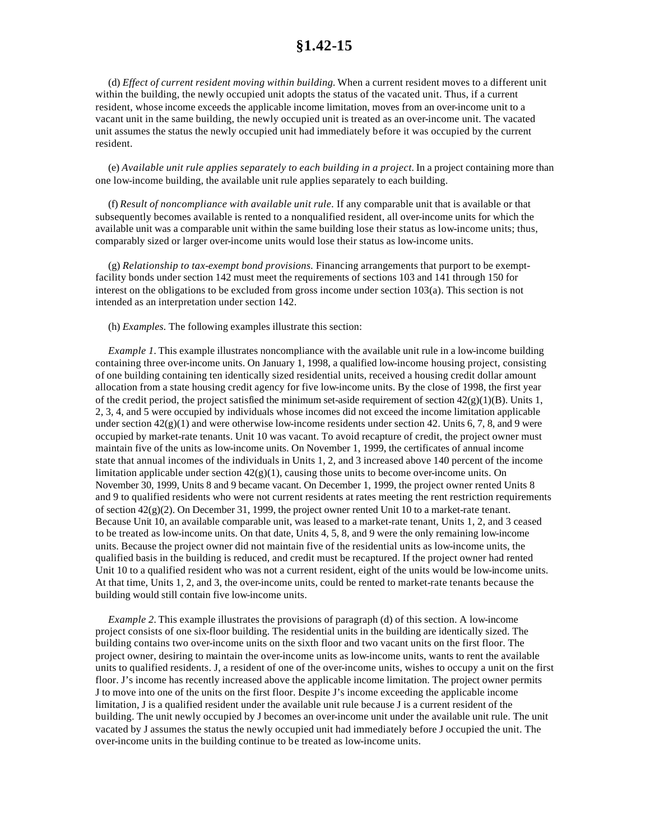## **§1.42-15**

(d) *Effect of current resident moving within building.* When a current resident moves to a different unit within the building, the newly occupied unit adopts the status of the vacated unit. Thus, if a current resident, whose income exceeds the applicable income limitation, moves from an over-income unit to a vacant unit in the same building, the newly occupied unit is treated as an over-income unit. The vacated unit assumes the status the newly occupied unit had immediately before it was occupied by the current resident.

(e) *Available unit rule applies separately to each building in a project.* In a project containing more than one low-income building, the available unit rule applies separately to each building.

(f) *Result of noncompliance with available unit rule.* If any comparable unit that is available or that subsequently becomes available is rented to a nonqualified resident, all over-income units for which the available unit was a comparable unit within the same building lose their status as low-income units; thus, comparably sized or larger over-income units would lose their status as low-income units.

(g) *Relationship to tax-exempt bond provisions.* Financing arrangements that purport to be exemptfacility bonds under section 142 must meet the requirements of sections 103 and 141 through 150 for interest on the obligations to be excluded from gross income under section 103(a). This section is not intended as an interpretation under section 142.

(h) *Examples.* The following examples illustrate this section:

*Example 1*. This example illustrates noncompliance with the available unit rule in a low-income building containing three over-income units. On January 1, 1998, a qualified low-income housing project, consisting of one building containing ten identically sized residential units, received a housing credit dollar amount allocation from a state housing credit agency for five low-income units. By the close of 1998, the first year of the credit period, the project satisfied the minimum set-aside requirement of section  $42(g)(1)(B)$ . Units 1, 2, 3, 4, and 5 were occupied by individuals whose incomes did not exceed the income limitation applicable under section  $42(g)(1)$  and were otherwise low-income residents under section 42. Units 6, 7, 8, and 9 were occupied by market-rate tenants. Unit 10 was vacant. To avoid recapture of credit, the project owner must maintain five of the units as low-income units. On November 1, 1999, the certificates of annual income state that annual incomes of the individuals in Units 1, 2, and 3 increased above 140 percent of the income limitation applicable under section  $42(g)(1)$ , causing those units to become over-income units. On November 30, 1999, Units 8 and 9 became vacant. On December 1, 1999, the project owner rented Units 8 and 9 to qualified residents who were not current residents at rates meeting the rent restriction requirements of section  $42(g)(2)$ . On December 31, 1999, the project owner rented Unit 10 to a market-rate tenant. Because Unit 10, an available comparable unit, was leased to a market-rate tenant, Units 1, 2, and 3 ceased to be treated as low-income units. On that date, Units 4, 5, 8, and 9 were the only remaining low-income units. Because the project owner did not maintain five of the residential units as low-income units, the qualified basis in the building is reduced, and credit must be recaptured. If the project owner had rented Unit 10 to a qualified resident who was not a current resident, eight of the units would be low-income units. At that time, Units 1, 2, and 3, the over-income units, could be rented to market-rate tenants because the building would still contain five low-income units.

*Example 2.* This example illustrates the provisions of paragraph (d) of this section. A low-income project consists of one six-floor building. The residential units in the building are identically sized. The building contains two over-income units on the sixth floor and two vacant units on the first floor. The project owner, desiring to maintain the over-income units as low-income units, wants to rent the available units to qualified residents. J, a resident of one of the over-income units, wishes to occupy a unit on the first floor. J's income has recently increased above the applicable income limitation. The project owner permits J to move into one of the units on the first floor. Despite J's income exceeding the applicable income limitation, J is a qualified resident under the available unit rule because J is a current resident of the building. The unit newly occupied by J becomes an over-income unit under the available unit rule. The unit vacated by J assumes the status the newly occupied unit had immediately before J occupied the unit. The over-income units in the building continue to be treated as low-income units.